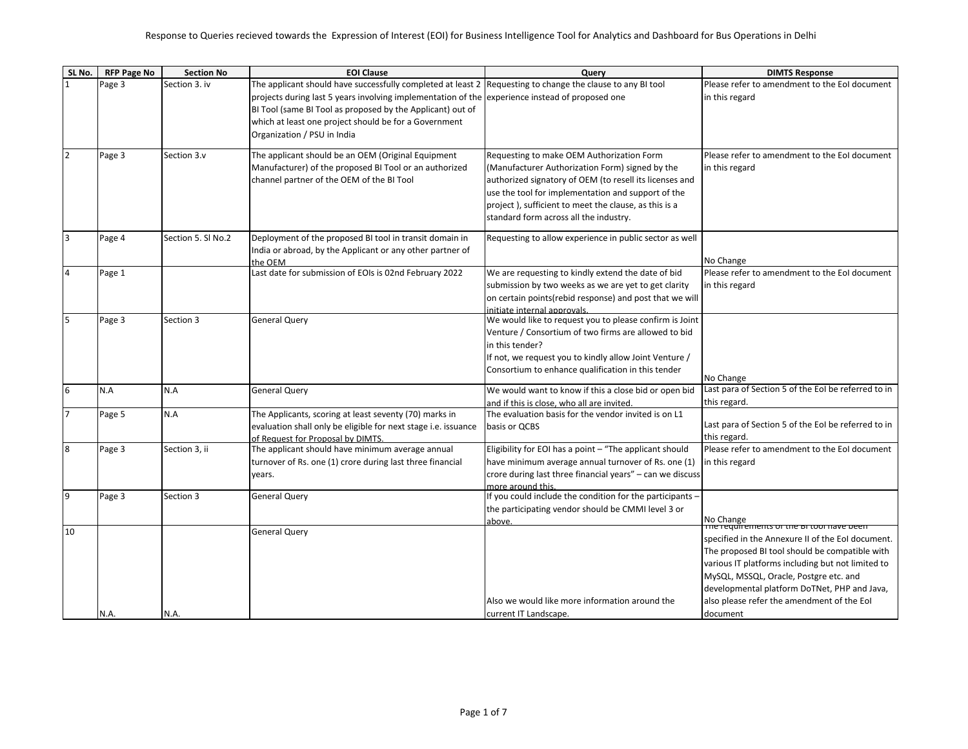| SL No.                  | <b>RFP Page No</b> | <b>Section No</b>  | <b>EOI Clause</b>                                                                                                    | Query                                                                          | <b>DIMTS Response</b>                                   |
|-------------------------|--------------------|--------------------|----------------------------------------------------------------------------------------------------------------------|--------------------------------------------------------------------------------|---------------------------------------------------------|
|                         | Page 3             | Section 3. iv      | The applicant should have successfully completed at least 2 Requesting to change the clause to any BI tool           |                                                                                | Please refer to amendment to the EoI document           |
|                         |                    |                    | projects during last 5 years involving implementation of the experience instead of proposed one                      |                                                                                | in this regard                                          |
|                         |                    |                    | BI Tool (same BI Tool as proposed by the Applicant) out of                                                           |                                                                                |                                                         |
|                         |                    |                    | which at least one project should be for a Government                                                                |                                                                                |                                                         |
|                         |                    |                    | Organization / PSU in India                                                                                          |                                                                                |                                                         |
| $\overline{2}$          | Page 3             | Section 3.v        | The applicant should be an OEM (Original Equipment                                                                   | Requesting to make OEM Authorization Form                                      | Please refer to amendment to the EoI document           |
|                         |                    |                    | Manufacturer) of the proposed BI Tool or an authorized                                                               | (Manufacturer Authorization Form) signed by the                                | in this regard                                          |
|                         |                    |                    | channel partner of the OEM of the BI Tool                                                                            | authorized signatory of OEM (to resell its licenses and                        |                                                         |
|                         |                    |                    |                                                                                                                      | use the tool for implementation and support of the                             |                                                         |
|                         |                    |                    |                                                                                                                      | project), sufficient to meet the clause, as this is a                          |                                                         |
|                         |                    |                    |                                                                                                                      | standard form across all the industry.                                         |                                                         |
|                         |                    |                    |                                                                                                                      |                                                                                |                                                         |
| $\overline{\mathbf{3}}$ | Page 4             | Section 5. Sl No.2 | Deployment of the proposed BI tool in transit domain in<br>India or abroad, by the Applicant or any other partner of | Requesting to allow experience in public sector as well                        |                                                         |
|                         |                    |                    | the OEM                                                                                                              |                                                                                | No Change                                               |
| $\overline{4}$          | Page 1             |                    | Last date for submission of EOIs is 02nd February 2022                                                               | We are requesting to kindly extend the date of bid                             | Please refer to amendment to the EoI document           |
|                         |                    |                    |                                                                                                                      | submission by two weeks as we are yet to get clarity                           | in this regard                                          |
|                         |                    |                    |                                                                                                                      | on certain points (rebid response) and post that we will                       |                                                         |
|                         |                    |                    |                                                                                                                      | initiate internal approvals.                                                   |                                                         |
| 5                       | Page 3             | Section 3          | <b>General Query</b>                                                                                                 | We would like to request you to please confirm is Joint                        |                                                         |
|                         |                    |                    |                                                                                                                      | Venture / Consortium of two firms are allowed to bid                           |                                                         |
|                         |                    |                    |                                                                                                                      | in this tender?                                                                |                                                         |
|                         |                    |                    |                                                                                                                      | If not, we request you to kindly allow Joint Venture /                         |                                                         |
|                         |                    |                    |                                                                                                                      | Consortium to enhance qualification in this tender                             | No Change                                               |
| 6                       | N.A                | N.A                | <b>General Query</b>                                                                                                 | We would want to know if this a close bid or open bid                          | Last para of Section 5 of the EoI be referred to in     |
|                         |                    |                    |                                                                                                                      | and if this is close, who all are invited.                                     | this regard.                                            |
| $\overline{7}$          | Page 5             | N.A                | The Applicants, scoring at least seventy (70) marks in                                                               | The evaluation basis for the vendor invited is on L1                           |                                                         |
|                         |                    |                    | evaluation shall only be eligible for next stage i.e. issuance                                                       | basis or OCBS                                                                  | Last para of Section 5 of the EoI be referred to in     |
|                         |                    |                    | of Request for Proposal by DIMTS.                                                                                    |                                                                                | this regard.                                            |
| $\bf 8$                 | Page 3             | Section 3, ii      | The applicant should have minimum average annual                                                                     | Eligibility for EOI has a point - "The applicant should                        | Please refer to amendment to the EoI document           |
|                         |                    |                    | turnover of Rs. one (1) crore during last three financial                                                            | have minimum average annual turnover of Rs. one (1)                            | in this regard                                          |
|                         |                    |                    | years.                                                                                                               | crore during last three financial years" - can we discuss                      |                                                         |
| 9                       |                    |                    |                                                                                                                      | more around this.<br>If you could include the condition for the participants - |                                                         |
|                         | Page 3             | Section 3          | <b>General Query</b>                                                                                                 |                                                                                |                                                         |
|                         |                    |                    |                                                                                                                      | the participating vendor should be CMMI level 3 or<br>above.                   |                                                         |
| 10                      |                    |                    | <b>General Query</b>                                                                                                 |                                                                                | No Change<br>  The requirements of the BLtool have been |
|                         |                    |                    |                                                                                                                      |                                                                                | specified in the Annexure II of the EoI document.       |
|                         |                    |                    |                                                                                                                      |                                                                                | The proposed BI tool should be compatible with          |
|                         |                    |                    |                                                                                                                      |                                                                                | various IT platforms including but not limited to       |
|                         |                    |                    |                                                                                                                      |                                                                                | MySQL, MSSQL, Oracle, Postgre etc. and                  |
|                         |                    |                    |                                                                                                                      |                                                                                | developmental platform DoTNet, PHP and Java,            |
|                         |                    |                    |                                                                                                                      | Also we would like more information around the                                 | also please refer the amendment of the EoI              |
|                         | N.A.               | N.A.               |                                                                                                                      | current IT Landscape.                                                          | document                                                |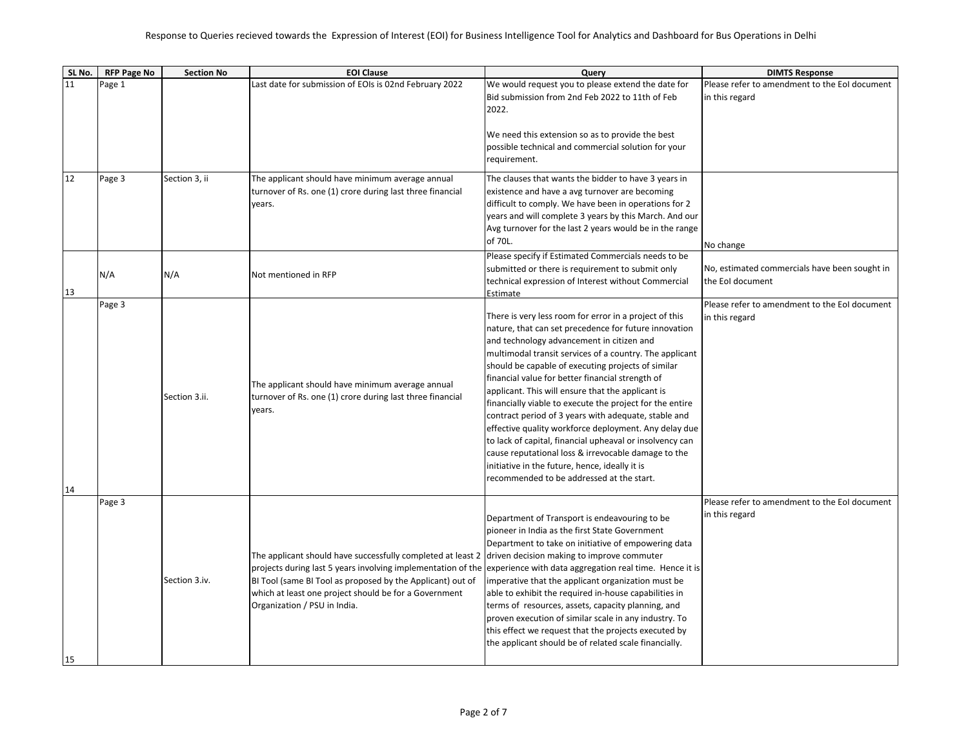| SL No. | <b>RFP Page No</b> | <b>Section No</b> | <b>EOI Clause</b>                                                                                                                                                                                                                                                                  | Query                                                                                                                                                                                                                                                                                                                                                                                                                                                                                                                                                                                                                                                                                                                                                                                 | <b>DIMTS Response</b>                                             |
|--------|--------------------|-------------------|------------------------------------------------------------------------------------------------------------------------------------------------------------------------------------------------------------------------------------------------------------------------------------|---------------------------------------------------------------------------------------------------------------------------------------------------------------------------------------------------------------------------------------------------------------------------------------------------------------------------------------------------------------------------------------------------------------------------------------------------------------------------------------------------------------------------------------------------------------------------------------------------------------------------------------------------------------------------------------------------------------------------------------------------------------------------------------|-------------------------------------------------------------------|
| 11     | Page 1             |                   | Last date for submission of EOIs is 02nd February 2022                                                                                                                                                                                                                             | We would request you to please extend the date for                                                                                                                                                                                                                                                                                                                                                                                                                                                                                                                                                                                                                                                                                                                                    | Please refer to amendment to the EoI document                     |
|        |                    |                   |                                                                                                                                                                                                                                                                                    | Bid submission from 2nd Feb 2022 to 11th of Feb<br>2022.                                                                                                                                                                                                                                                                                                                                                                                                                                                                                                                                                                                                                                                                                                                              | in this regard                                                    |
|        |                    |                   |                                                                                                                                                                                                                                                                                    | We need this extension so as to provide the best<br>possible technical and commercial solution for your<br>requirement.                                                                                                                                                                                                                                                                                                                                                                                                                                                                                                                                                                                                                                                               |                                                                   |
| 12     | Page 3             | Section 3, ii     | The applicant should have minimum average annual<br>turnover of Rs. one (1) crore during last three financial<br>years.                                                                                                                                                            | The clauses that wants the bidder to have 3 years in<br>existence and have a avg turnover are becoming<br>difficult to comply. We have been in operations for 2<br>years and will complete 3 years by this March. And our<br>Avg turnover for the last 2 years would be in the range<br>of 70L.                                                                                                                                                                                                                                                                                                                                                                                                                                                                                       | No change                                                         |
| 13     | N/A                | N/A               | Not mentioned in RFP                                                                                                                                                                                                                                                               | Please specify if Estimated Commercials needs to be<br>submitted or there is requirement to submit only<br>technical expression of Interest without Commercial<br>Estimate                                                                                                                                                                                                                                                                                                                                                                                                                                                                                                                                                                                                            | No, estimated commercials have been sought in<br>the EoI document |
| 14     | Page 3             | Section 3.ii.     | The applicant should have minimum average annual<br>turnover of Rs. one (1) crore during last three financial<br>years.                                                                                                                                                            | There is very less room for error in a project of this<br>nature, that can set precedence for future innovation<br>and technology advancement in citizen and<br>multimodal transit services of a country. The applicant<br>should be capable of executing projects of similar<br>financial value for better financial strength of<br>applicant. This will ensure that the applicant is<br>financially viable to execute the project for the entire<br>contract period of 3 years with adequate, stable and<br>effective quality workforce deployment. Any delay due<br>to lack of capital, financial upheaval or insolvency can<br>cause reputational loss & irrevocable damage to the<br>initiative in the future, hence, ideally it is<br>recommended to be addressed at the start. | Please refer to amendment to the EoI document<br>in this regard   |
| 15     | Page 3             | Section 3.iv.     | The applicant should have successfully completed at least 2<br>projects during last 5 years involving implementation of the<br>BI Tool (same BI Tool as proposed by the Applicant) out of<br>which at least one project should be for a Government<br>Organization / PSU in India. | Department of Transport is endeavouring to be<br>pioneer in India as the first State Government<br>Department to take on initiative of empowering data<br>driven decision making to improve commuter<br>experience with data aggregation real time. Hence it is<br>imperative that the applicant organization must be<br>able to exhibit the required in-house capabilities in<br>terms of resources, assets, capacity planning, and<br>proven execution of similar scale in any industry. To<br>this effect we request that the projects executed by<br>the applicant should be of related scale financially.                                                                                                                                                                        | Please refer to amendment to the EoI document<br>in this regard   |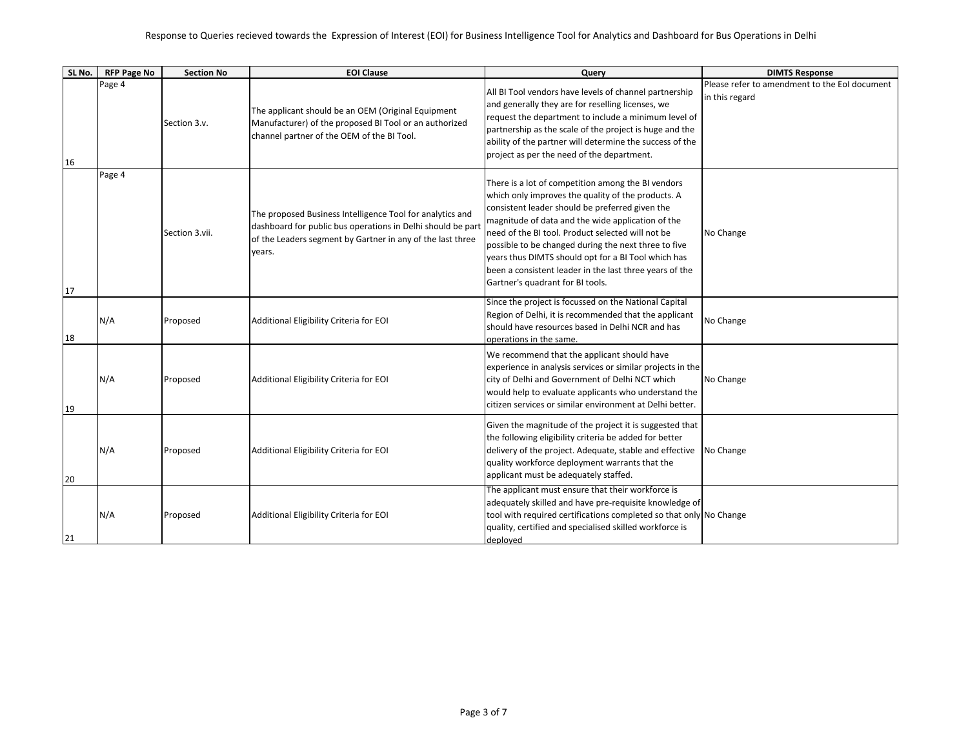## Response to Queries recieved towards the Expression of Interest (EOI) for Business Intelligence Tool for Analytics and Dashboard for Bus Operations in Delhi

| SL No. | <b>RFP Page No</b> | <b>Section No</b> | <b>EOI Clause</b>                                                                                                                                                                                | Query                                                                                                                                                                                                                                                                                                                                                                                                                                                                               | <b>DIMTS Response</b>                                           |
|--------|--------------------|-------------------|--------------------------------------------------------------------------------------------------------------------------------------------------------------------------------------------------|-------------------------------------------------------------------------------------------------------------------------------------------------------------------------------------------------------------------------------------------------------------------------------------------------------------------------------------------------------------------------------------------------------------------------------------------------------------------------------------|-----------------------------------------------------------------|
| 16     | Page 4             | Section 3.v.      | The applicant should be an OEM (Original Equipment<br>Manufacturer) of the proposed BI Tool or an authorized<br>channel partner of the OEM of the BI Tool.                                       | All BI Tool vendors have levels of channel partnership<br>and generally they are for reselling licenses, we<br>request the department to include a minimum level of<br>partnership as the scale of the project is huge and the<br>ability of the partner will determine the success of the<br>project as per the need of the department.                                                                                                                                            | Please refer to amendment to the EoI document<br>in this regard |
| 17     | Page 4             | Section 3.vii.    | The proposed Business Intelligence Tool for analytics and<br>dashboard for public bus operations in Delhi should be part<br>of the Leaders segment by Gartner in any of the last three<br>years. | There is a lot of competition among the BI vendors<br>which only improves the quality of the products. A<br>consistent leader should be preferred given the<br>magnitude of data and the wide application of the<br>need of the BI tool. Product selected will not be<br>possible to be changed during the next three to five<br>years thus DIMTS should opt for a BI Tool which has<br>been a consistent leader in the last three years of the<br>Gartner's quadrant for BI tools. | No Change                                                       |
| 18     | N/A                | Proposed          | Additional Eligibility Criteria for EOI                                                                                                                                                          | Since the project is focussed on the National Capital<br>Region of Delhi, it is recommended that the applicant<br>should have resources based in Delhi NCR and has<br>operations in the same.                                                                                                                                                                                                                                                                                       | No Change                                                       |
| 19     | N/A                | Proposed          | Additional Eligibility Criteria for EOI                                                                                                                                                          | We recommend that the applicant should have<br>experience in analysis services or similar projects in the<br>city of Delhi and Government of Delhi NCT which<br>would help to evaluate applicants who understand the<br>citizen services or similar environment at Delhi better.                                                                                                                                                                                                    | No Change                                                       |
| 20     | N/A                | Proposed          | Additional Eligibility Criteria for EOI                                                                                                                                                          | Given the magnitude of the project it is suggested that<br>the following eligibility criteria be added for better<br>delivery of the project. Adequate, stable and effective<br>quality workforce deployment warrants that the<br>applicant must be adequately staffed.                                                                                                                                                                                                             | No Change                                                       |
| 21     | N/A                | Proposed          | Additional Eligibility Criteria for EOI                                                                                                                                                          | The applicant must ensure that their workforce is<br>adequately skilled and have pre-requisite knowledge of<br>tool with required certifications completed so that only No Change<br>quality, certified and specialised skilled workforce is<br>deployed                                                                                                                                                                                                                            |                                                                 |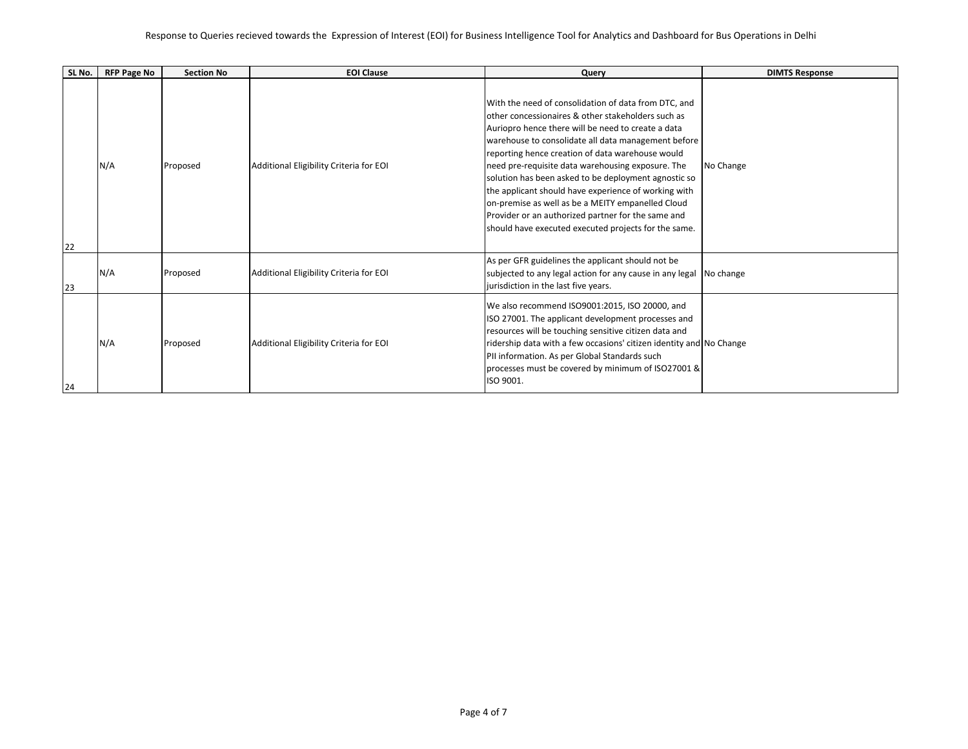## Response to Queries recieved towards the Expression of Interest (EOI) for Business Intelligence Tool for Analytics and Dashboard for Bus Operations in Delhi

| SL No. | <b>RFP Page No</b> | <b>Section No</b> | <b>EOI Clause</b>                       | Query                                                                                                                                                                                                                                                                                                                                                                                                                                                                                                                                                                                                               | <b>DIMTS Response</b> |
|--------|--------------------|-------------------|-----------------------------------------|---------------------------------------------------------------------------------------------------------------------------------------------------------------------------------------------------------------------------------------------------------------------------------------------------------------------------------------------------------------------------------------------------------------------------------------------------------------------------------------------------------------------------------------------------------------------------------------------------------------------|-----------------------|
| 22     | N/A                | Proposed          | Additional Eligibility Criteria for EOI | With the need of consolidation of data from DTC, and<br>other concessionaires & other stakeholders such as<br>Auriopro hence there will be need to create a data<br>warehouse to consolidate all data management before<br>reporting hence creation of data warehouse would<br>need pre-requisite data warehousing exposure. The<br>solution has been asked to be deployment agnostic so<br>the applicant should have experience of working with<br>on-premise as well as be a MEITY empanelled Cloud<br>Provider or an authorized partner for the same and<br>should have executed executed projects for the same. | No Change             |
| 23     | N/A                | Proposed          | Additional Eligibility Criteria for EOI | As per GFR guidelines the applicant should not be<br>subjected to any legal action for any cause in any legal No change<br>jurisdiction in the last five years.                                                                                                                                                                                                                                                                                                                                                                                                                                                     |                       |
| 24     | N/A                | Proposed          | Additional Eligibility Criteria for EOI | We also recommend ISO9001:2015, ISO 20000, and<br>ISO 27001. The applicant development processes and<br>resources will be touching sensitive citizen data and<br>ridership data with a few occasions' citizen identity and No Change<br>PII information. As per Global Standards such<br>processes must be covered by minimum of ISO27001 &<br>ISO 9001.                                                                                                                                                                                                                                                            |                       |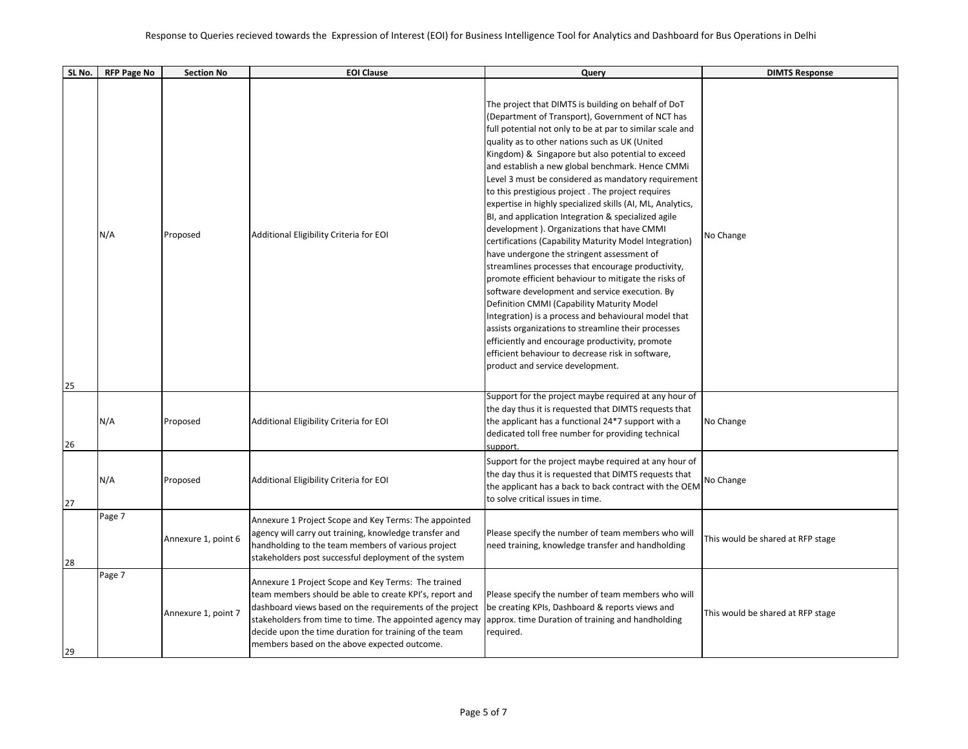| SL No. | <b>RFP Page No</b> | <b>Section No</b>   | <b>EOI Clause</b>                                                                                                                                                                                                                                                                                                                                                                                  | Query                                                                                                                                                                                                                                                                                                                                                                                                                                                                                                                                                                                                                                                                                                                                                                                                                                                                                                                                                                                                                                                                                                                                                                                           | <b>DIMTS Response</b>             |
|--------|--------------------|---------------------|----------------------------------------------------------------------------------------------------------------------------------------------------------------------------------------------------------------------------------------------------------------------------------------------------------------------------------------------------------------------------------------------------|-------------------------------------------------------------------------------------------------------------------------------------------------------------------------------------------------------------------------------------------------------------------------------------------------------------------------------------------------------------------------------------------------------------------------------------------------------------------------------------------------------------------------------------------------------------------------------------------------------------------------------------------------------------------------------------------------------------------------------------------------------------------------------------------------------------------------------------------------------------------------------------------------------------------------------------------------------------------------------------------------------------------------------------------------------------------------------------------------------------------------------------------------------------------------------------------------|-----------------------------------|
| 25     | N/A                | Proposed            | Additional Eligibility Criteria for EOI                                                                                                                                                                                                                                                                                                                                                            | The project that DIMTS is building on behalf of DoT<br>(Department of Transport), Government of NCT has<br>full potential not only to be at par to similar scale and<br>quality as to other nations such as UK (United<br>Kingdom) & Singapore but also potential to exceed<br>and establish a new global benchmark. Hence CMMi<br>Level 3 must be considered as mandatory requirement<br>to this prestigious project. The project requires<br>expertise in highly specialized skills (AI, ML, Analytics,<br>BI, and application Integration & specialized agile<br>development). Organizations that have CMMI<br>certifications (Capability Maturity Model Integration)<br>have undergone the stringent assessment of<br>streamlines processes that encourage productivity,<br>promote efficient behaviour to mitigate the risks of<br>software development and service execution. By<br>Definition CMMI (Capability Maturity Model<br>Integration) is a process and behavioural model that<br>assists organizations to streamline their processes<br>efficiently and encourage productivity, promote<br>efficient behaviour to decrease risk in software,<br>product and service development. | No Change                         |
| 26     | N/A                | Proposed            | Additional Eligibility Criteria for EOI                                                                                                                                                                                                                                                                                                                                                            | Support for the project maybe required at any hour of<br>the day thus it is requested that DIMTS requests that<br>the applicant has a functional 24*7 support with a<br>dedicated toll free number for providing technical<br>support.                                                                                                                                                                                                                                                                                                                                                                                                                                                                                                                                                                                                                                                                                                                                                                                                                                                                                                                                                          | No Change                         |
| 27     | N/A                | Proposed            | Additional Eligibility Criteria for EOI                                                                                                                                                                                                                                                                                                                                                            | Support for the project maybe required at any hour of<br>the day thus it is requested that DIMTS requests that<br>the applicant has a back to back contract with the OEM<br>to solve critical issues in time.                                                                                                                                                                                                                                                                                                                                                                                                                                                                                                                                                                                                                                                                                                                                                                                                                                                                                                                                                                                   | No Change                         |
| 28     | Page 7             | Annexure 1, point 6 | Annexure 1 Project Scope and Key Terms: The appointed<br>agency will carry out training, knowledge transfer and<br>handholding to the team members of various project<br>stakeholders post successful deployment of the system                                                                                                                                                                     | Please specify the number of team members who will<br>need training, knowledge transfer and handholding                                                                                                                                                                                                                                                                                                                                                                                                                                                                                                                                                                                                                                                                                                                                                                                                                                                                                                                                                                                                                                                                                         | This would be shared at RFP stage |
| 29     | Page 7             | Annexure 1, point 7 | Annexure 1 Project Scope and Key Terms: The trained<br>team members should be able to create KPI's, report and<br>dashboard views based on the requirements of the project<br>stakeholders from time to time. The appointed agency may approx. time Duration of training and handholding<br>decide upon the time duration for training of the team<br>members based on the above expected outcome. | Please specify the number of team members who will<br>be creating KPIs, Dashboard & reports views and<br>required.                                                                                                                                                                                                                                                                                                                                                                                                                                                                                                                                                                                                                                                                                                                                                                                                                                                                                                                                                                                                                                                                              | This would be shared at RFP stage |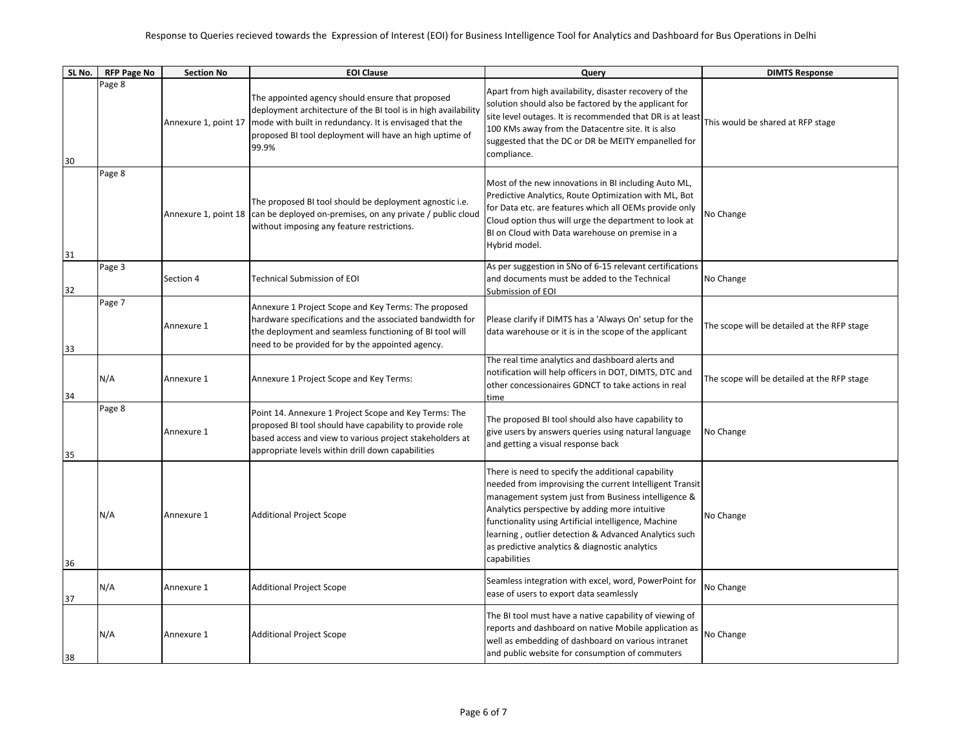| SL No. | <b>RFP Page No</b> | <b>Section No</b>    | <b>EOI Clause</b>                                                                                                                                                                                                                                 | Query                                                                                                                                                                                                                                                                                                                                                                                                     | <b>DIMTS Response</b>                       |
|--------|--------------------|----------------------|---------------------------------------------------------------------------------------------------------------------------------------------------------------------------------------------------------------------------------------------------|-----------------------------------------------------------------------------------------------------------------------------------------------------------------------------------------------------------------------------------------------------------------------------------------------------------------------------------------------------------------------------------------------------------|---------------------------------------------|
| 30     | Page 8             | Annexure 1, point 17 | The appointed agency should ensure that proposed<br>deployment architecture of the BI tool is in high availability<br>mode with built in redundancy. It is envisaged that the<br>proposed BI tool deployment will have an high uptime of<br>99.9% | Apart from high availability, disaster recovery of the<br>solution should also be factored by the applicant for<br>site level outages. It is recommended that DR is at least<br>100 KMs away from the Datacentre site. It is also<br>suggested that the DC or DR be MEITY empanelled for<br>compliance.                                                                                                   | This would be shared at RFP stage           |
| 31     | Page 8             |                      | The proposed BI tool should be deployment agnostic i.e.<br>Annexure 1, point 18 can be deployed on-premises, on any private / public cloud<br>without imposing any feature restrictions.                                                          | Most of the new innovations in BI including Auto ML,<br>Predictive Analytics, Route Optimization with ML, Bot<br>for Data etc. are features which all OEMs provide only<br>Cloud option thus will urge the department to look at<br>BI on Cloud with Data warehouse on premise in a<br>Hybrid model.                                                                                                      | No Change                                   |
| 32     | Page 3             | Section 4            | <b>Technical Submission of EOI</b>                                                                                                                                                                                                                | As per suggestion in SNo of 6-15 relevant certifications<br>and documents must be added to the Technical<br>Submission of EOI                                                                                                                                                                                                                                                                             | No Change                                   |
| 33     | Page 7             | Annexure 1           | Annexure 1 Project Scope and Key Terms: The proposed<br>hardware specifications and the associated bandwidth for<br>the deployment and seamless functioning of BI tool will<br>need to be provided for by the appointed agency.                   | Please clarify if DIMTS has a 'Always On' setup for the<br>data warehouse or it is in the scope of the applicant                                                                                                                                                                                                                                                                                          | The scope will be detailed at the RFP stage |
| 34     | N/A                | Annexure 1           | Annexure 1 Project Scope and Key Terms:                                                                                                                                                                                                           | The real time analytics and dashboard alerts and<br>notification will help officers in DOT, DIMTS, DTC and<br>other concessionaires GDNCT to take actions in real<br>time                                                                                                                                                                                                                                 | The scope will be detailed at the RFP stage |
| 35     | Page 8             | Annexure 1           | Point 14. Annexure 1 Project Scope and Key Terms: The<br>proposed BI tool should have capability to provide role<br>based access and view to various project stakeholders at<br>appropriate levels within drill down capabilities                 | The proposed BI tool should also have capability to<br>give users by answers queries using natural language<br>and getting a visual response back                                                                                                                                                                                                                                                         | No Change                                   |
| 36     | N/A                | Annexure 1           | <b>Additional Project Scope</b>                                                                                                                                                                                                                   | There is need to specify the additional capability<br>needed from improvising the current Intelligent Transit<br>management system just from Business intelligence &<br>Analytics perspective by adding more intuitive<br>functionality using Artificial intelligence, Machine<br>learning, outlier detection & Advanced Analytics such<br>as predictive analytics & diagnostic analytics<br>capabilities | No Change                                   |
| 37     | N/A                | Annexure 1           | <b>Additional Project Scope</b>                                                                                                                                                                                                                   | Seamless integration with excel, word, PowerPoint for<br>ease of users to export data seamlessly                                                                                                                                                                                                                                                                                                          | No Change                                   |
| 38     | N/A                | Annexure 1           | <b>Additional Project Scope</b>                                                                                                                                                                                                                   | The BI tool must have a native capability of viewing of<br>reports and dashboard on native Mobile application as<br>well as embedding of dashboard on various intranet<br>and public website for consumption of commuters                                                                                                                                                                                 | No Change                                   |